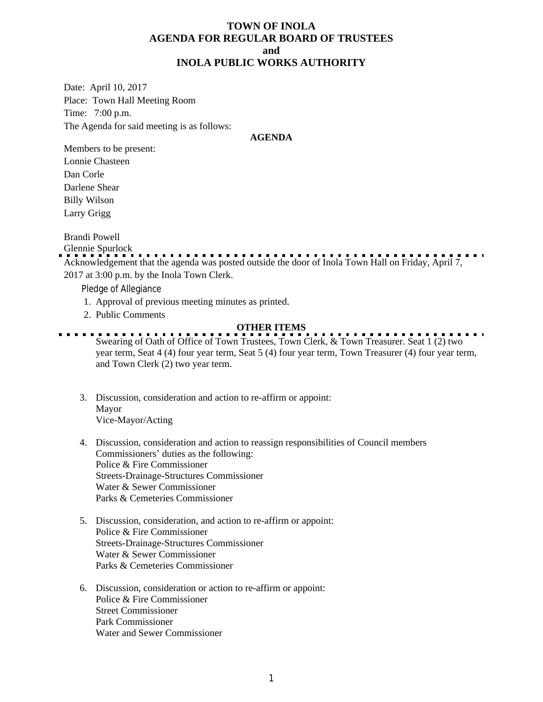#### **TOWN OF INOLA AGENDA FOR REGULAR BOARD OF TRUSTEES and INOLA PUBLIC WORKS AUTHORITY**

Date: April 10, 2017 Place: Town Hall Meeting Room Time: 7:00 p.m. The Agenda for said meeting is as follows:

#### **AGENDA**

Members to be present: Lonnie Chasteen Dan Corle Darlene Shear Billy Wilson Larry Grigg

Brandi Powell

Glennie Spurlock Acknowledgement that the agenda was posted outside the door of Inola Town Hall on Friday, April 7, 2017 at 3:00 p.m. by the Inola Town Clerk.

Pledge of Allegiance

- 1. Approval of previous meeting minutes as printed.
- 2. Public Comments

# **OTHER ITEMS**

- Swearing of Oath of Office of Town Trustees, Town Clerk, & Town Treasurer. Seat 1 (2) two year term, Seat 4 (4) four year term, Seat 5 (4) four year term, Town Treasurer (4) four year term, and Town Clerk (2) two year term.
- 3. Discussion, consideration and action to re-affirm or appoint: Mayor Vice-Mayor/Acting
- 4. Discussion, consideration and action to reassign responsibilities of Council members Commissioners' duties as the following: Police & Fire Commissioner Streets-Drainage-Structures Commissioner Water & Sewer Commissioner Parks & Cemeteries Commissioner
- 5. Discussion, consideration, and action to re-affirm or appoint: Police & Fire Commissioner Streets-Drainage-Structures Commissioner Water & Sewer Commissioner Parks & Cemeteries Commissioner
- 6. Discussion, consideration or action to re-affirm or appoint: Police & Fire Commissioner Street Commissioner Park Commissioner Water and Sewer Commissioner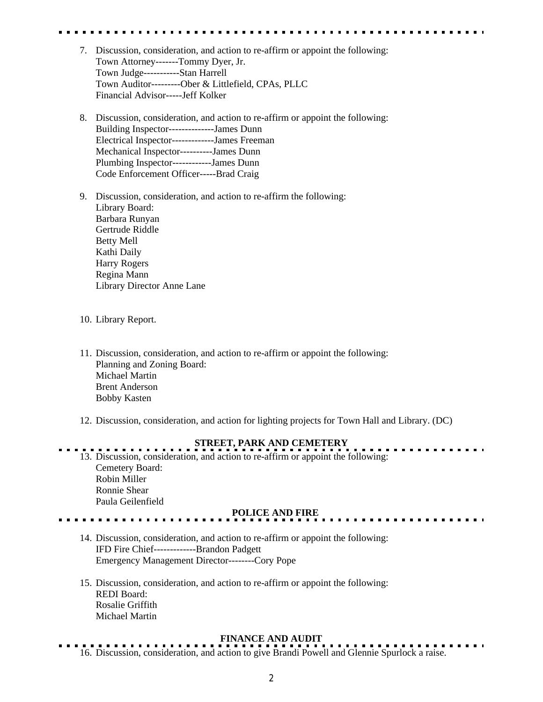- 7. Discussion, consideration, and action to re-affirm or appoint the following: Town Attorney-------Tommy Dyer, Jr. Town Judge-----------Stan Harrell Town Auditor---------Ober & Littlefield, CPAs, PLLC Financial Advisor-----Jeff Kolker
- 8. Discussion, consideration, and action to re-affirm or appoint the following: Building Inspector--------------James Dunn Electrical Inspector-------------James Freeman Mechanical Inspector----------James Dunn Plumbing Inspector------------James Dunn Code Enforcement Officer-----Brad Craig
- 9. Discussion, consideration, and action to re-affirm the following: Library Board: Barbara Runyan Gertrude Riddle Betty Mell Kathi Daily Harry Rogers Regina Mann Library Director Anne Lane
- 10. Library Report.
- 11. Discussion, consideration, and action to re-affirm or appoint the following: Planning and Zoning Board: Michael Martin Brent Anderson Bobby Kasten
- 12. Discussion, consideration, and action for lighting projects for Town Hall and Library. (DC)

# **STREET, PARK AND CEMETERY**

13. Discussion, consideration, and action to re-affirm or appoint the following: Cemetery Board: Robin Miller Ronnie Shear Paula Geilenfield

## **POLICE AND FIRE**

- 14. Discussion, consideration, and action to re-affirm or appoint the following: IFD Fire Chief-------------Brandon Padgett Emergency Management Director--------Cory Pope
- 15. Discussion, consideration, and action to re-affirm or appoint the following: REDI Board: Rosalie Griffith Michael Martin

#### **FINANCE AND AUDIT**

. . . . . . . . . . . . 16. Discussion, consideration, and action to give Brandi Powell and Glennie Spurlock a raise.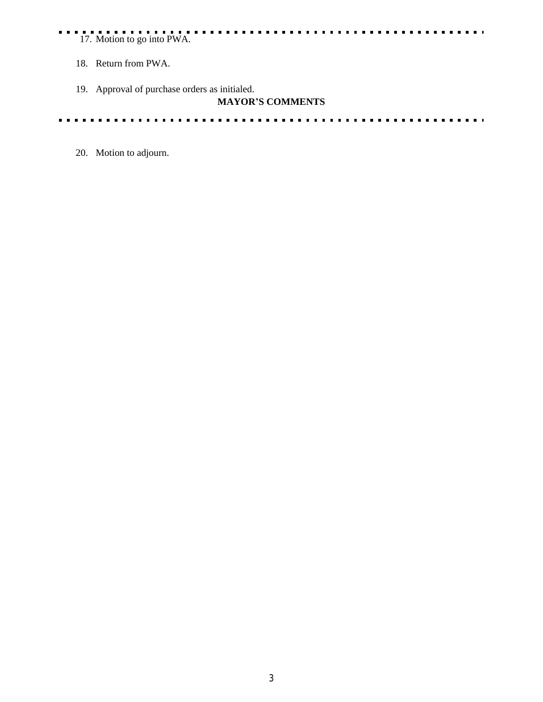## 17. Motion to go into PWA.

- 18. Return from PWA.
- 19. Approval of purchase orders as initialed.

### **MAYOR'S COMMENTS**

 $\cdots$ 

 $\frac{1}{2} \left( \frac{1}{2} \right) \left( \frac{1}{2} \right) \left( \frac{1}{2} \right) \left( \frac{1}{2} \right)$  $- - - - - - \mathbf{r}$  $\mathbf{r}$  ,  $\mathbf{r}$ . . . . . .  $\blacksquare$ 

20. Motion to adjourn.